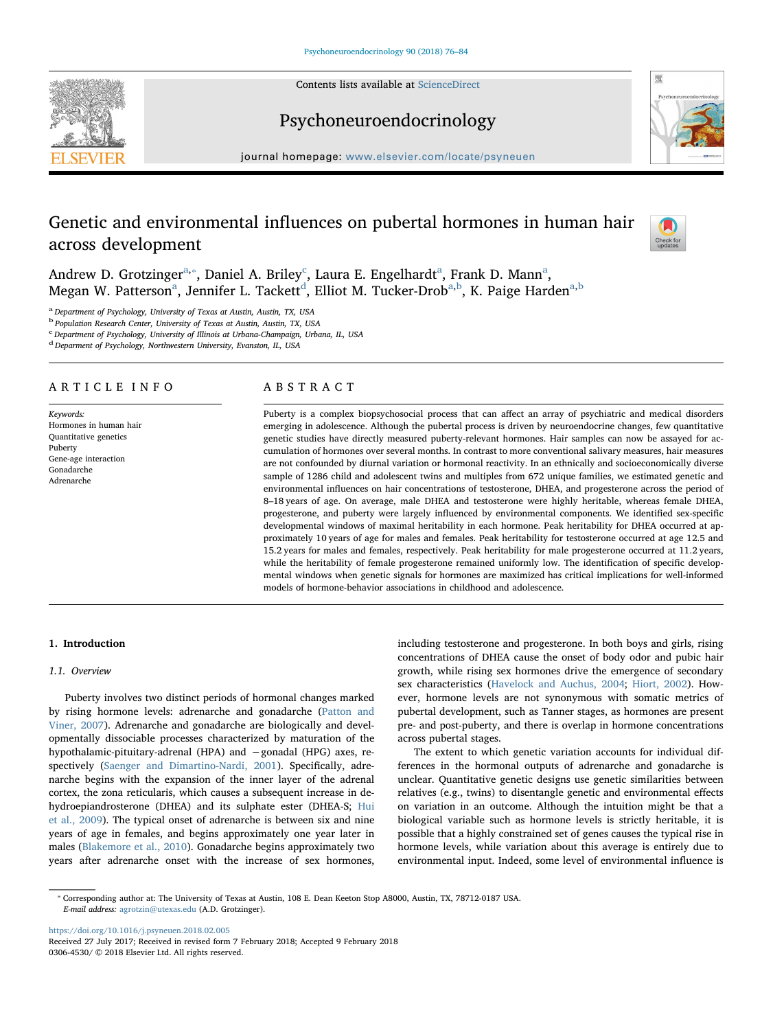Contents lists available at [ScienceDirect](http://www.sciencedirect.com/science/journal/03064530)





Psychoneuroendocrinology

journal homepage: [www.elsevier.com/locate/psyneuen](https://www.elsevier.com/locate/psyneuen)

# Genetic and environmental influences on pubertal hormones in human hair across development



Andrew D. Grotzinger<sup>[a](#page-0-0),</sup>\*, Daniel A. Briley<sup>[c](#page-0-2)</sup>, Laura E. Engelhardt<sup>a</sup>, Frank D. Mann<sup>a</sup>, Meg[a](#page-0-0)n W. Patterson<sup>a</sup>, Jennifer L. Tackett<sup>[d](#page-0-3)</sup>, Elliot M. Tucker-Dro[b](#page-0-4)<sup>a[,b](#page-0-4)</sup>, K. Paige Harden<sup>a,b</sup>

<span id="page-0-0"></span><sup>a</sup> Department of Psychology, University of Texas at Austin, Austin, TX, USA

<span id="page-0-4"></span><sup>b</sup> Population Research Center, University of Texas at Austin, Austin, TX, USA

<span id="page-0-2"></span>c Department of Psychology, University of Illinois at Urbana-Champaign, Urbana, IL, USA

<span id="page-0-3"></span><sup>d</sup> Deparment of Psychology, Northwestern University, Evanston, IL, USA

# ARTICLE INFO

Keywords: Hormones in human hair Quantitative genetics Puberty Gene-age interaction Gonadarche Adrenarche

# ABSTRACT

Puberty is a complex biopsychosocial process that can affect an array of psychiatric and medical disorders emerging in adolescence. Although the pubertal process is driven by neuroendocrine changes, few quantitative genetic studies have directly measured puberty-relevant hormones. Hair samples can now be assayed for accumulation of hormones over several months. In contrast to more conventional salivary measures, hair measures are not confounded by diurnal variation or hormonal reactivity. In an ethnically and socioeconomically diverse sample of 1286 child and adolescent twins and multiples from 672 unique families, we estimated genetic and environmental influences on hair concentrations of testosterone, DHEA, and progesterone across the period of 8–18 years of age. On average, male DHEA and testosterone were highly heritable, whereas female DHEA, progesterone, and puberty were largely influenced by environmental components. We identified sex-specific developmental windows of maximal heritability in each hormone. Peak heritability for DHEA occurred at approximately 10 years of age for males and females. Peak heritability for testosterone occurred at age 12.5 and 15.2 years for males and females, respectively. Peak heritability for male progesterone occurred at 11.2 years, while the heritability of female progesterone remained uniformly low. The identification of specific developmental windows when genetic signals for hormones are maximized has critical implications for well-informed models of hormone-behavior associations in childhood and adolescence.

# 1. Introduction

# 1.1. Overview

Puberty involves two distinct periods of hormonal changes marked by rising hormone levels: adrenarche and gonadarche [\(Patton and](#page-8-0) [Viner, 2007](#page-8-0)). Adrenarche and gonadarche are biologically and developmentally dissociable processes characterized by maturation of the hypothalamic-pituitary-adrenal (HPA) and −gonadal (HPG) axes, respectively [\(Saenger and Dimartino-Nardi, 2001\)](#page-8-1). Specifically, adrenarche begins with the expansion of the inner layer of the adrenal cortex, the zona reticularis, which causes a subsequent increase in dehydroepiandrosterone (DHEA) and its sulphate ester (DHEA-S; [Hui](#page-8-2) [et al., 2009\)](#page-8-2). The typical onset of adrenarche is between six and nine years of age in females, and begins approximately one year later in males [\(Blakemore et al., 2010](#page-8-3)). Gonadarche begins approximately two years after adrenarche onset with the increase of sex hormones,

including testosterone and progesterone. In both boys and girls, rising concentrations of DHEA cause the onset of body odor and pubic hair growth, while rising sex hormones drive the emergence of secondary sex characteristics ([Havelock and Auchus, 2004](#page-8-4); [Hiort, 2002\)](#page-8-5). However, hormone levels are not synonymous with somatic metrics of pubertal development, such as Tanner stages, as hormones are present pre- and post-puberty, and there is overlap in hormone concentrations across pubertal stages.

The extent to which genetic variation accounts for individual differences in the hormonal outputs of adrenarche and gonadarche is unclear. Quantitative genetic designs use genetic similarities between relatives (e.g., twins) to disentangle genetic and environmental effects on variation in an outcome. Although the intuition might be that a biological variable such as hormone levels is strictly heritable, it is possible that a highly constrained set of genes causes the typical rise in hormone levels, while variation about this average is entirely due to environmental input. Indeed, some level of environmental influence is

<https://doi.org/10.1016/j.psyneuen.2018.02.005> Received 27 July 2017; Received in revised form 7 February 2018; Accepted 9 February 2018 0306-4530/ © 2018 Elsevier Ltd. All rights reserved.

<span id="page-0-1"></span><sup>⁎</sup> Corresponding author at: The University of Texas at Austin, 108 E. Dean Keeton Stop A8000, Austin, TX, 78712-0187 USA. E-mail address: [agrotzin@utexas.edu](mailto:agrotzin@utexas.edu) (A.D. Grotzinger).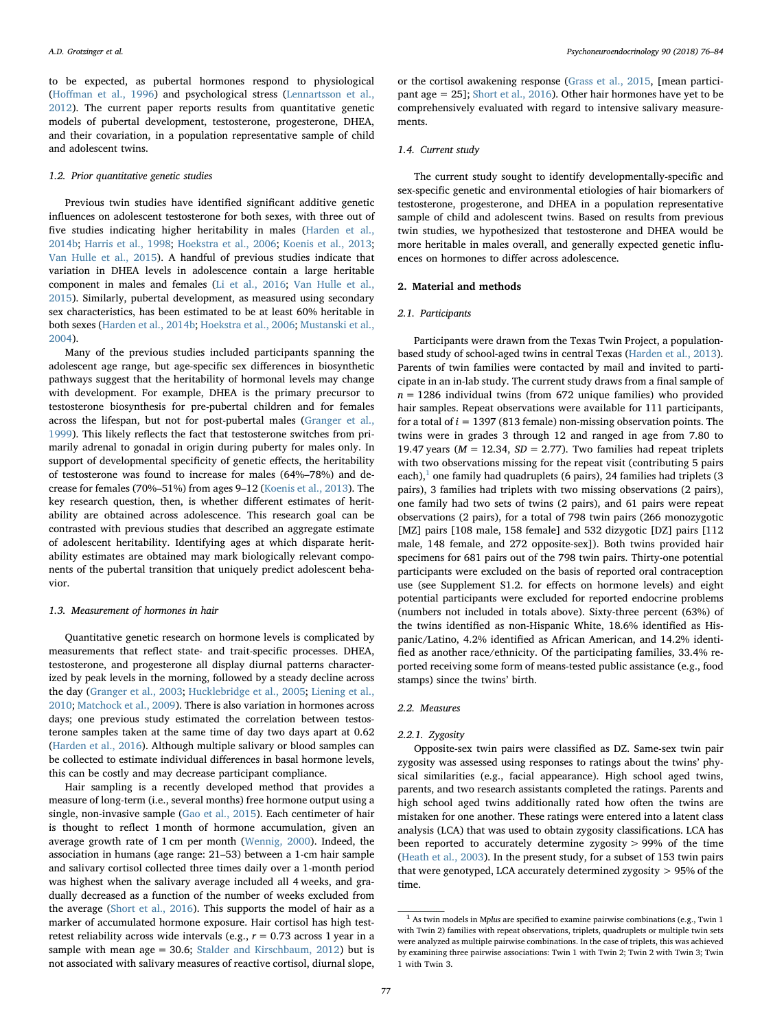to be expected, as pubertal hormones respond to physiological (Hoff[man et al., 1996\)](#page-8-6) and psychological stress ([Lennartsson et al.,](#page-8-7) [2012\)](#page-8-7). The current paper reports results from quantitative genetic models of pubertal development, testosterone, progesterone, DHEA, and their covariation, in a population representative sample of child and adolescent twins.

#### 1.2. Prior quantitative genetic studies

Previous twin studies have identified significant additive genetic influences on adolescent testosterone for both sexes, with three out of five studies indicating higher heritability in males ([Harden et al.,](#page-8-8) [2014b;](#page-8-8) [Harris et al., 1998;](#page-8-9) [Hoekstra et al., 2006](#page-8-10); [Koenis et al., 2013](#page-8-11); [Van Hulle et al., 2015\)](#page-8-12). A handful of previous studies indicate that variation in DHEA levels in adolescence contain a large heritable component in males and females ([Li et al., 2016](#page-8-13); [Van Hulle et al.,](#page-8-12) [2015\)](#page-8-12). Similarly, pubertal development, as measured using secondary sex characteristics, has been estimated to be at least 60% heritable in both sexes ([Harden et al., 2014b](#page-8-8); [Hoekstra et al., 2006](#page-8-10); [Mustanski et al.,](#page-8-14) [2004\)](#page-8-14).

Many of the previous studies included participants spanning the adolescent age range, but age-specific sex differences in biosynthetic pathways suggest that the heritability of hormonal levels may change with development. For example, DHEA is the primary precursor to testosterone biosynthesis for pre-pubertal children and for females across the lifespan, but not for post-pubertal males ([Granger et al.,](#page-8-15) [1999\)](#page-8-15). This likely reflects the fact that testosterone switches from primarily adrenal to gonadal in origin during puberty for males only. In support of developmental specificity of genetic effects, the heritability of testosterone was found to increase for males (64%–78%) and decrease for females (70%–51%) from ages 9–12 ([Koenis et al., 2013](#page-8-11)). The key research question, then, is whether different estimates of heritability are obtained across adolescence. This research goal can be contrasted with previous studies that described an aggregate estimate of adolescent heritability. Identifying ages at which disparate heritability estimates are obtained may mark biologically relevant components of the pubertal transition that uniquely predict adolescent behavior.

#### 1.3. Measurement of hormones in hair

Quantitative genetic research on hormone levels is complicated by measurements that reflect state- and trait-specific processes. DHEA, testosterone, and progesterone all display diurnal patterns characterized by peak levels in the morning, followed by a steady decline across the day [\(Granger et al., 2003;](#page-8-16) [Hucklebridge](#page-8-17) et al., 2005; [Liening et al.,](#page-8-18) [2010;](#page-8-18) [Matchock et al., 2009](#page-8-19)). There is also variation in hormones across days; one previous study estimated the correlation between testosterone samples taken at the same time of day two days apart at 0.62 ([Harden et al., 2016](#page-8-20)). Although multiple salivary or blood samples can be collected to estimate individual differences in basal hormone levels, this can be costly and may decrease participant compliance.

Hair sampling is a recently developed method that provides a measure of long-term (i.e., several months) free hormone output using a single, non-invasive sample ([Gao et al., 2015\)](#page-8-21). Each centimeter of hair is thought to reflect 1 month of hormone accumulation, given an average growth rate of 1 cm per month ([Wennig, 2000](#page-8-22)). Indeed, the association in humans (age range: 21–53) between a 1-cm hair sample and salivary cortisol collected three times daily over a 1-month period was highest when the salivary average included all 4 weeks, and gradually decreased as a function of the number of weeks excluded from the average [\(Short et al., 2016\)](#page-8-23). This supports the model of hair as a marker of accumulated hormone exposure. Hair cortisol has high testretest reliability across wide intervals (e.g.,  $r = 0.73$  across 1 year in a sample with mean age = 30.6; [Stalder and Kirschbaum, 2012\)](#page-8-24) but is not associated with salivary measures of reactive cortisol, diurnal slope,

or the cortisol awakening response ([Grass et al., 2015](#page-8-25), [mean participant age = 25]; [Short et al., 2016](#page-8-23)). Other hair hormones have yet to be comprehensively evaluated with regard to intensive salivary measurements.

#### 1.4. Current study

The current study sought to identify developmentally-specific and sex-specific genetic and environmental etiologies of hair biomarkers of testosterone, progesterone, and DHEA in a population representative sample of child and adolescent twins. Based on results from previous twin studies, we hypothesized that testosterone and DHEA would be more heritable in males overall, and generally expected genetic influences on hormones to differ across adolescence.

# 2. Material and methods

# 2.1. Participants

Participants were drawn from the Texas Twin Project, a populationbased study of school-aged twins in central Texas ([Harden et al., 2013](#page-8-26)). Parents of twin families were contacted by mail and invited to participate in an in-lab study. The current study draws from a final sample of  $n = 1286$  individual twins (from 672 unique families) who provided hair samples. Repeat observations were available for 111 participants, for a total of  $i = 1397$  (813 female) non-missing observation points. The twins were in grades 3 through 12 and ranged in age from 7.80 to 19.47 years ( $M = 12.34$ ,  $SD = 2.77$ ). Two families had repeat triplets with two observations missing for the repeat visit (contributing 5 pairs each),<sup>[1](#page-1-0)</sup> one family had quadruplets (6 pairs), 24 families had triplets (3 pairs), 3 families had triplets with two missing observations (2 pairs), one family had two sets of twins (2 pairs), and 61 pairs were repeat observations (2 pairs), for a total of 798 twin pairs (266 monozygotic [MZ] pairs [108 male, 158 female] and 532 dizygotic [DZ] pairs [112 male, 148 female, and 272 opposite-sex]). Both twins provided hair specimens for 681 pairs out of the 798 twin pairs. Thirty-one potential participants were excluded on the basis of reported oral contraception use (see Supplement S1.2. for effects on hormone levels) and eight potential participants were excluded for reported endocrine problems (numbers not included in totals above). Sixty-three percent (63%) of the twins identified as non-Hispanic White, 18.6% identified as Hispanic/Latino, 4.2% identified as African American, and 14.2% identified as another race/ethnicity. Of the participating families, 33.4% reported receiving some form of means-tested public assistance (e.g., food stamps) since the twins' birth.

#### 2.2. Measures

#### 2.2.1. Zygosity

Opposite-sex twin pairs were classified as DZ. Same-sex twin pair zygosity was assessed using responses to ratings about the twins' physical similarities (e.g., facial appearance). High school aged twins, parents, and two research assistants completed the ratings. Parents and high school aged twins additionally rated how often the twins are mistaken for one another. These ratings were entered into a latent class analysis (LCA) that was used to obtain zygosity classifications. LCA has been reported to accurately determine zygosity > 99% of the time ([Heath et al., 2003\)](#page-8-27). In the present study, for a subset of 153 twin pairs that were genotyped, LCA accurately determined zygosity > 95% of the time.

<span id="page-1-0"></span> $^{\rm 1}$  As twin models in Mplus are specified to examine pairwise combinations (e.g., Twin 1 with Twin 2) families with repeat observations, triplets, quadruplets or multiple twin sets were analyzed as multiple pairwise combinations. In the case of triplets, this was achieved by examining three pairwise associations: Twin 1 with Twin 2; Twin 2 with Twin 3; Twin 1 with Twin 3.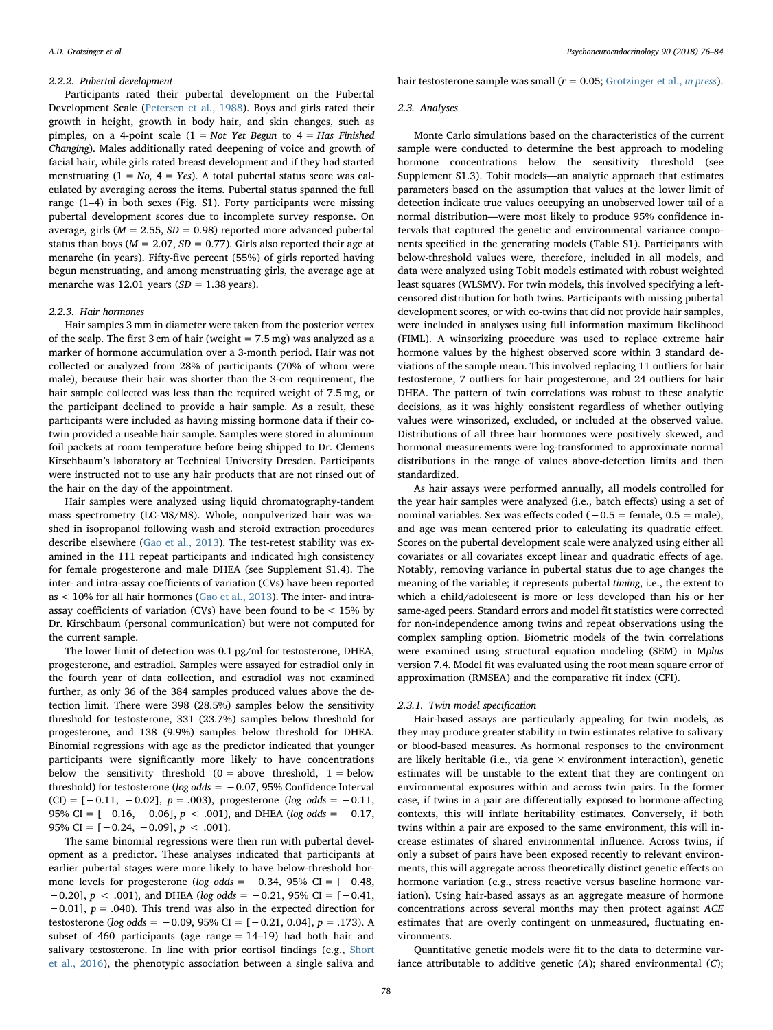#### 2.2.2. Pubertal development

Participants rated their pubertal development on the Pubertal Development Scale [\(Petersen et al., 1988](#page-8-28)). Boys and girls rated their growth in height, growth in body hair, and skin changes, such as pimples, on a 4-point scale  $(1 = Not$  Yet Begun to  $4 = Has$  Finished Changing). Males additionally rated deepening of voice and growth of facial hair, while girls rated breast development and if they had started menstruating  $(1 = No, 4 = Yes)$ . A total pubertal status score was calculated by averaging across the items. Pubertal status spanned the full range (1–4) in both sexes (Fig. S1). Forty participants were missing pubertal development scores due to incomplete survey response. On average, girls ( $M = 2.55$ ,  $SD = 0.98$ ) reported more advanced pubertal status than boys ( $M = 2.07$ ,  $SD = 0.77$ ). Girls also reported their age at menarche (in years). Fifty-five percent (55%) of girls reported having begun menstruating, and among menstruating girls, the average age at menarche was 12.01 years ( $SD = 1.38$  years).

# 2.2.3. Hair hormones

Hair samples 3 mm in diameter were taken from the posterior vertex of the scalp. The first 3 cm of hair (weight  $= 7.5$  mg) was analyzed as a marker of hormone accumulation over a 3-month period. Hair was not collected or analyzed from 28% of participants (70% of whom were male), because their hair was shorter than the 3-cm requirement, the hair sample collected was less than the required weight of 7.5 mg, or the participant declined to provide a hair sample. As a result, these participants were included as having missing hormone data if their cotwin provided a useable hair sample. Samples were stored in aluminum foil packets at room temperature before being shipped to Dr. Clemens Kirschbaum's laboratory at Technical University Dresden. Participants were instructed not to use any hair products that are not rinsed out of the hair on the day of the appointment.

Hair samples were analyzed using liquid chromatography-tandem mass spectrometry (LC-MS/MS). Whole, nonpulverized hair was washed in isopropanol following wash and steroid extraction procedures describe elsewhere ([Gao et al., 2013\)](#page-8-29). The test-retest stability was examined in the 111 repeat participants and indicated high consistency for female progesterone and male DHEA (see Supplement S1.4). The inter- and intra-assay coefficients of variation (CVs) have been reported as < 10% for all hair hormones ([Gao et al., 2013\)](#page-8-29). The inter- and intraassay coefficients of variation (CVs) have been found to be < 15% by Dr. Kirschbaum (personal communication) but were not computed for the current sample.

The lower limit of detection was 0.1 pg/ml for testosterone, DHEA, progesterone, and estradiol. Samples were assayed for estradiol only in the fourth year of data collection, and estradiol was not examined further, as only 36 of the 384 samples produced values above the detection limit. There were 398 (28.5%) samples below the sensitivity threshold for testosterone, 331 (23.7%) samples below threshold for progesterone, and 138 (9.9%) samples below threshold for DHEA. Binomial regressions with age as the predictor indicated that younger participants were significantly more likely to have concentrations below the sensitivity threshold  $(0 = above$  threshold,  $1 = below$ threshold) for testosterone (log odds =  $-0.07$ , 95% Confidence Interval (CI) =  $[-0.11, -0.02]$ ,  $p = .003$ ), progesterone (log odds = -0.11, 95% CI =  $[-0.16, -0.06]$ ,  $p < .001$ ), and DHEA (log odds = -0.17, 95% CI =  $[-0.24, -0.09]$ ,  $p < .001$ ).

The same binomial regressions were then run with pubertal development as a predictor. These analyses indicated that participants at earlier pubertal stages were more likely to have below-threshold hormone levels for progesterone (log odds =  $-0.34$ , 95% CI = [ $-0.48$ ,  $-0.20$ ],  $p < .001$ ), and DHEA (log odds =  $-0.21$ , 95% CI = [ $-0.41$ ,  $-0.01$ ],  $p = .040$ ). This trend was also in the expected direction for testosterone ( $log \text{ odds} = -0.09$ , 95% CI = [-0.21, 0.04], p = .173). A subset of 460 participants (age range = 14–19) had both hair and salivary testosterone. In line with prior cortisol findings (e.g., [Short](#page-8-23) [et al., 2016\)](#page-8-23), the phenotypic association between a single saliva and

hair testosterone sample was small ( $r = 0.05$ ; [Grotzinger et al.,](#page-8-30) in press).

#### 2.3. Analyses

Monte Carlo simulations based on the characteristics of the current sample were conducted to determine the best approach to modeling hormone concentrations below the sensitivity threshold (see Supplement S1.3). Tobit models—an analytic approach that estimates parameters based on the assumption that values at the lower limit of detection indicate true values occupying an unobserved lower tail of a normal distribution—were most likely to produce 95% confidence intervals that captured the genetic and environmental variance components specified in the generating models (Table S1). Participants with below-threshold values were, therefore, included in all models, and data were analyzed using Tobit models estimated with robust weighted least squares (WLSMV). For twin models, this involved specifying a leftcensored distribution for both twins. Participants with missing pubertal development scores, or with co-twins that did not provide hair samples, were included in analyses using full information maximum likelihood (FIML). A winsorizing procedure was used to replace extreme hair hormone values by the highest observed score within 3 standard deviations of the sample mean. This involved replacing 11 outliers for hair testosterone, 7 outliers for hair progesterone, and 24 outliers for hair DHEA. The pattern of twin correlations was robust to these analytic decisions, as it was highly consistent regardless of whether outlying values were winsorized, excluded, or included at the observed value. Distributions of all three hair hormones were positively skewed, and hormonal measurements were log-transformed to approximate normal distributions in the range of values above-detection limits and then standardized.

As hair assays were performed annually, all models controlled for the year hair samples were analyzed (i.e., batch effects) using a set of nominal variables. Sex was effects coded ( $-0.5$  = female,  $0.5$  = male), and age was mean centered prior to calculating its quadratic effect. Scores on the pubertal development scale were analyzed using either all covariates or all covariates except linear and quadratic effects of age. Notably, removing variance in pubertal status due to age changes the meaning of the variable; it represents pubertal timing, i.e., the extent to which a child/adolescent is more or less developed than his or her same-aged peers. Standard errors and model fit statistics were corrected for non-independence among twins and repeat observations using the complex sampling option. Biometric models of the twin correlations were examined using structural equation modeling (SEM) in Mplus version 7.4. Model fit was evaluated using the root mean square error of approximation (RMSEA) and the comparative fit index (CFI).

#### 2.3.1. Twin model specification

Hair-based assays are particularly appealing for twin models, as they may produce greater stability in twin estimates relative to salivary or blood-based measures. As hormonal responses to the environment are likely heritable (i.e., via gene  $\times$  environment interaction), genetic estimates will be unstable to the extent that they are contingent on environmental exposures within and across twin pairs. In the former case, if twins in a pair are differentially exposed to hormone-affecting contexts, this will inflate heritability estimates. Conversely, if both twins within a pair are exposed to the same environment, this will increase estimates of shared environmental influence. Across twins, if only a subset of pairs have been exposed recently to relevant environments, this will aggregate across theoretically distinct genetic effects on hormone variation (e.g., stress reactive versus baseline hormone variation). Using hair-based assays as an aggregate measure of hormone concentrations across several months may then protect against ACE estimates that are overly contingent on unmeasured, fluctuating environments.

Quantitative genetic models were fit to the data to determine variance attributable to additive genetic (A); shared environmental (C);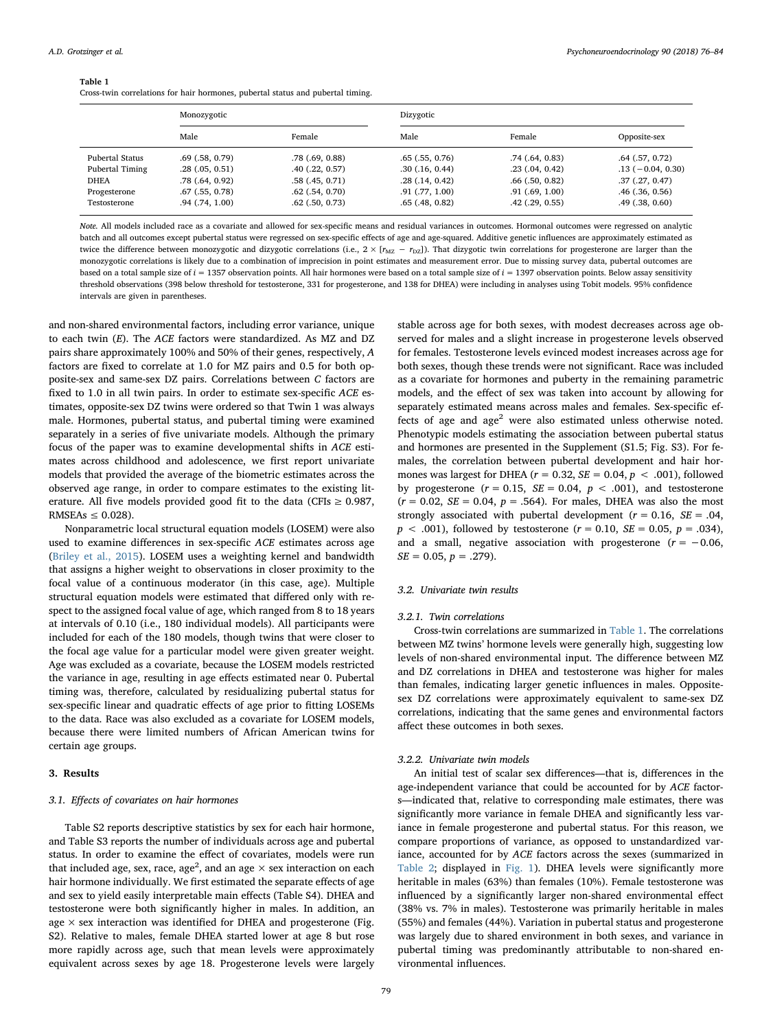#### <span id="page-3-0"></span>Table 1

Cross-twin correlations for hair hormones, pubertal status and pubertal timing.

|                 | Monozygotic         |                       | Dizygotic           |                     |                     |
|-----------------|---------------------|-----------------------|---------------------|---------------------|---------------------|
|                 | Male                | Female                | Male                | Female              | Opposite-sex        |
| Pubertal Status | $.69$ $(.58, 0.79)$ | .78(0.69, 0.88)       | $.65$ $(.55, 0.76)$ | .74(0.64, 0.83)     | $.64$ $(.57, 0.72)$ |
| Pubertal Timing | .28(.05, 0.51)      | $.40$ $(.22, 0.57)$   | .30(0.16, 0.44)     | .23(0.04, 0.42)     | $.13(-0.04, 0.30)$  |
| <b>DHEA</b>     | .78(0.64, 0.92)     | .58(.45, 0.71)        | $.28$ $(.14, 0.42)$ | $.66$ $(.50, 0.82)$ | $.37$ $(.27, 0.47)$ |
| Progesterone    | $.67$ $(.55, 0.78)$ | $.62$ $(.54, 0.70)$   | $.91$ $(.77, 1.00)$ | .91(0.69, 1.00)     | $.46$ $(.36, 0.56)$ |
| Testosterone    | .94(0.74, 1.00)     | $.62$ ( $.50, 0.73$ ) | $.65$ $(.48, 0.82)$ | $.42$ $(.29, 0.55)$ | $.49$ $(.38, 0.60)$ |

Note. All models included race as a covariate and allowed for sex-specific means and residual variances in outcomes. Hormonal outcomes were regressed on analytic batch and all outcomes except pubertal status were regressed on sex-specific effects of age and age-squared. Additive genetic influences are approximately estimated as twice the difference between monozygotic and dizygotic correlations (i.e.,  $2 \times [r_{MZ} - r_{DZ}]$ ). That dizygotic twin correlations for progesterone are larger than the monozygotic correlations is likely due to a combination of imprecision in point estimates and measurement error. Due to missing survey data, pubertal outcomes are based on a total sample size of  $i = 1357$  observation points. All hair hormones were based on a total sample size of  $i = 1397$  observation points. Below assay sensitivity threshold observations (398 below threshold for testosterone, 331 for progesterone, and 138 for DHEA) were including in analyses using Tobit models. 95% confidence intervals are given in parentheses.

and non-shared environmental factors, including error variance, unique to each twin (E). The ACE factors were standardized. As MZ and DZ pairs share approximately 100% and 50% of their genes, respectively, A factors are fixed to correlate at 1.0 for MZ pairs and 0.5 for both opposite-sex and same-sex DZ pairs. Correlations between C factors are fixed to 1.0 in all twin pairs. In order to estimate sex-specific ACE estimates, opposite-sex DZ twins were ordered so that Twin 1 was always male. Hormones, pubertal status, and pubertal timing were examined separately in a series of five univariate models. Although the primary focus of the paper was to examine developmental shifts in ACE estimates across childhood and adolescence, we first report univariate models that provided the average of the biometric estimates across the observed age range, in order to compare estimates to the existing literature. All five models provided good fit to the data (CFIs  $\geq$  0.987,  $RMSEAs < 0.028$ ).

Nonparametric local structural equation models (LOSEM) were also used to examine differences in sex-specific ACE estimates across age ([Briley et al., 2015\)](#page-8-31). LOSEM uses a weighting kernel and bandwidth that assigns a higher weight to observations in closer proximity to the focal value of a continuous moderator (in this case, age). Multiple structural equation models were estimated that differed only with respect to the assigned focal value of age, which ranged from 8 to 18 years at intervals of 0.10 (i.e., 180 individual models). All participants were included for each of the 180 models, though twins that were closer to the focal age value for a particular model were given greater weight. Age was excluded as a covariate, because the LOSEM models restricted the variance in age, resulting in age effects estimated near 0. Pubertal timing was, therefore, calculated by residualizing pubertal status for sex-specific linear and quadratic effects of age prior to fitting LOSEMs to the data. Race was also excluded as a covariate for LOSEM models, because there were limited numbers of African American twins for certain age groups.

# 3. Results

# 3.1. Effects of covariates on hair hormones

Table S2 reports descriptive statistics by sex for each hair hormone, and Table S3 reports the number of individuals across age and pubertal status. In order to examine the effect of covariates, models were run that included age, sex, race, age<sup>2</sup>, and an age  $\times$  sex interaction on each hair hormone individually. We first estimated the separate effects of age and sex to yield easily interpretable main effects (Table S4). DHEA and testosterone were both significantly higher in males. In addition, an age  $\times$  sex interaction was identified for DHEA and progesterone (Fig. S2). Relative to males, female DHEA started lower at age 8 but rose more rapidly across age, such that mean levels were approximately equivalent across sexes by age 18. Progesterone levels were largely stable across age for both sexes, with modest decreases across age observed for males and a slight increase in progesterone levels observed for females. Testosterone levels evinced modest increases across age for both sexes, though these trends were not significant. Race was included as a covariate for hormones and puberty in the remaining parametric models, and the effect of sex was taken into account by allowing for separately estimated means across males and females. Sex-specific effects of age and age<sup>2</sup> were also estimated unless otherwise noted. Phenotypic models estimating the association between pubertal status and hormones are presented in the Supplement (S1.5; Fig. S3). For females, the correlation between pubertal development and hair hormones was largest for DHEA ( $r = 0.32$ ,  $SE = 0.04$ ,  $p < .001$ ), followed by progesterone ( $r = 0.15$ ,  $SE = 0.04$ ,  $p < .001$ ), and testosterone  $(r = 0.02, SE = 0.04, p = .564)$ . For males, DHEA was also the most strongly associated with pubertal development ( $r = 0.16$ ,  $SE = .04$ ,  $p < .001$ ), followed by testosterone ( $r = 0.10$ ,  $SE = 0.05$ ,  $p = .034$ ), and a small, negative association with progesterone  $(r = -0.06,$  $SE = 0.05$ ,  $p = .279$ ).

#### 3.2. Univariate twin results

#### 3.2.1. Twin correlations

Cross-twin correlations are summarized in [Table 1](#page-3-0). The correlations between MZ twins' hormone levels were generally high, suggesting low levels of non-shared environmental input. The difference between MZ and DZ correlations in DHEA and testosterone was higher for males than females, indicating larger genetic influences in males. Oppositesex DZ correlations were approximately equivalent to same-sex DZ correlations, indicating that the same genes and environmental factors affect these outcomes in both sexes.

#### 3.2.2. Univariate twin models

An initial test of scalar sex differences—that is, differences in the age-independent variance that could be accounted for by ACE factors—indicated that, relative to corresponding male estimates, there was significantly more variance in female DHEA and significantly less variance in female progesterone and pubertal status. For this reason, we compare proportions of variance, as opposed to unstandardized variance, accounted for by ACE factors across the sexes (summarized in [Table 2;](#page-4-0) displayed in [Fig. 1\)](#page-4-1). DHEA levels were significantly more heritable in males (63%) than females (10%). Female testosterone was influenced by a significantly larger non-shared environmental effect (38% vs. 7% in males). Testosterone was primarily heritable in males (55%) and females (44%). Variation in pubertal status and progesterone was largely due to shared environment in both sexes, and variance in pubertal timing was predominantly attributable to non-shared environmental influences.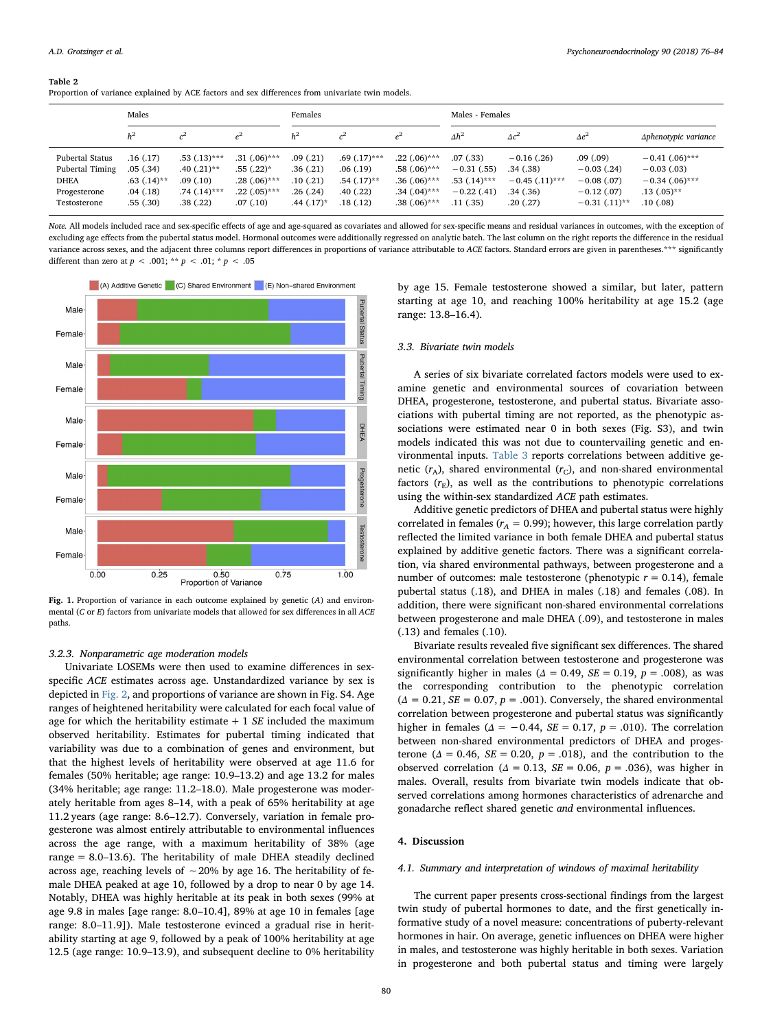#### <span id="page-4-0"></span>Table 2

Proportion of variance explained by ACE factors and sex differences from univariate twin models.

|                                                                                   | Males                                                            |                                                                                |                                                                                | Females                                                           |                                                                          |                                                                                       | Males - Females                                                            |                                                                       |                                                                                 |                                                                                     |
|-----------------------------------------------------------------------------------|------------------------------------------------------------------|--------------------------------------------------------------------------------|--------------------------------------------------------------------------------|-------------------------------------------------------------------|--------------------------------------------------------------------------|---------------------------------------------------------------------------------------|----------------------------------------------------------------------------|-----------------------------------------------------------------------|---------------------------------------------------------------------------------|-------------------------------------------------------------------------------------|
|                                                                                   | h <sup>2</sup>                                                   |                                                                                |                                                                                | h <sup>2</sup>                                                    |                                                                          | $e^2$                                                                                 | $\Delta h^2$                                                               | $\Delta c^2$                                                          | $\Delta e^2$                                                                    | Aphenotypic variance                                                                |
| Pubertal Status<br>Pubertal Timing<br><b>DHEA</b><br>Progesterone<br>Testosterone | .16(.17)<br>.05(.34)<br>$.63$ $(.14)$ **<br>.04(.18)<br>.55(.30) | $.53$ $(.13)***$<br>$.40$ $(.21)$ **<br>.09(0.10)<br>$.74(.14)***$<br>.38(.22) | $.31(.06)$ ***<br>$.55(.22)$ *<br>$.28(.06)$ ***<br>$.22(.05)***$<br>.07(0.10) | .09(0.21)<br>.36(.21)<br>.10(0.21)<br>.26(.24)<br>$.44$ $(.17)$ * | $.69(0.17)$ ***<br>.06(0.19)<br>$.54$ $(.17)**$<br>.40(0.22)<br>.18(.12) | $.22(.06)***$<br>$.58(.06)$ ***<br>$.36(.06)$ ***<br>$.34(.04)$ ***<br>$.38(.06)$ *** | .07(0.33)<br>$-0.31(0.55)$<br>$.53$ (.14)***<br>$-0.22$ (.41)<br>.11(0.35) | $-0.16$ (.26)<br>.34(.38)<br>$-0.45$ (.11)***<br>.34(.36)<br>.20(.27) | .09(0.09)<br>$-0.03$ (.24)<br>$-0.08$ (.07)<br>$-0.12$ (.07)<br>$-0.31$ (.11)** | $-0.41$ (.06)***<br>$-0.03(0.03)$<br>$-0.34$ (.06)***<br>$.13(.05)$ **<br>.10(0.08) |

Note. All models included race and sex-specific effects of age and age-squared as covariates and allowed for sex-specific means and residual variances in outcomes, with the exception of excluding age effects from the pubertal status model. Hormonal outcomes were additionally regressed on analytic batch. The last column on the right reports the difference in the residual variance across sexes, and the adjacent three columns report differences in proportions of variance attributable to ACE factors. Standard errors are given in parentheses.\*\*\* significantly different than zero at  $p < .001$ ; \*\*  $p < .01$ ; \*  $p < .05$ 

<span id="page-4-1"></span>

Fig. 1. Proportion of variance in each outcome explained by genetic (A) and environmental  $(C \text{ or } E)$  factors from univariate models that allowed for sex differences in all  $ACE$ paths.

#### 3.2.3. Nonparametric age moderation models

Univariate LOSEMs were then used to examine differences in sexspecific ACE estimates across age. Unstandardized variance by sex is depicted in [Fig. 2](#page-5-0), and proportions of variance are shown in Fig. S4. Age ranges of heightened heritability were calculated for each focal value of age for which the heritability estimate  $+ 1$  SE included the maximum observed heritability. Estimates for pubertal timing indicated that variability was due to a combination of genes and environment, but that the highest levels of heritability were observed at age 11.6 for females (50% heritable; age range: 10.9–13.2) and age 13.2 for males (34% heritable; age range: 11.2–18.0). Male progesterone was moderately heritable from ages 8–14, with a peak of 65% heritability at age 11.2 years (age range: 8.6–12.7). Conversely, variation in female progesterone was almost entirely attributable to environmental influences across the age range, with a maximum heritability of 38% (age range  $= 8.0 - 13.6$ ). The heritability of male DHEA steadily declined across age, reaching levels of ∼20% by age 16. The heritability of female DHEA peaked at age 10, followed by a drop to near 0 by age 14. Notably, DHEA was highly heritable at its peak in both sexes (99% at age 9.8 in males [age range: 8.0–10.4], 89% at age 10 in females [age range: 8.0–11.9]). Male testosterone evinced a gradual rise in heritability starting at age 9, followed by a peak of 100% heritability at age 12.5 (age range: 10.9–13.9), and subsequent decline to 0% heritability

by age 15. Female testosterone showed a similar, but later, pattern starting at age 10, and reaching 100% heritability at age 15.2 (age range: 13.8–16.4).

# 3.3. Bivariate twin models

A series of six bivariate correlated factors models were used to examine genetic and environmental sources of covariation between DHEA, progesterone, testosterone, and pubertal status. Bivariate associations with pubertal timing are not reported, as the phenotypic associations were estimated near 0 in both sexes (Fig. S3), and twin models indicated this was not due to countervailing genetic and environmental inputs. [Table 3](#page-6-0) reports correlations between additive genetic  $(r_A)$ , shared environmental  $(r_C)$ , and non-shared environmental factors  $(r<sub>E</sub>)$ , as well as the contributions to phenotypic correlations using the within-sex standardized ACE path estimates.

Additive genetic predictors of DHEA and pubertal status were highly correlated in females ( $r_A$  = 0.99); however, this large correlation partly reflected the limited variance in both female DHEA and pubertal status explained by additive genetic factors. There was a significant correlation, via shared environmental pathways, between progesterone and a number of outcomes: male testosterone (phenotypic  $r = 0.14$ ), female pubertal status (.18), and DHEA in males (.18) and females (.08). In addition, there were significant non-shared environmental correlations between progesterone and male DHEA (.09), and testosterone in males (.13) and females (.10).

Bivariate results revealed five significant sex differences. The shared environmental correlation between testosterone and progesterone was significantly higher in males ( $\Delta = 0.49$ ,  $SE = 0.19$ ,  $p = .008$ ), as was the corresponding contribution to the phenotypic correlation  $(\Delta = 0.21, SE = 0.07, p = .001)$ . Conversely, the shared environmental correlation between progesterone and pubertal status was significantly higher in females ( $\Delta = -0.44$ ,  $SE = 0.17$ ,  $p = .010$ ). The correlation between non-shared environmental predictors of DHEA and progesterone ( $\Delta = 0.46$ ,  $SE = 0.20$ ,  $p = .018$ ), and the contribution to the observed correlation ( $\Delta = 0.13$ ,  $SE = 0.06$ ,  $p = .036$ ), was higher in males. Overall, results from bivariate twin models indicate that observed correlations among hormones characteristics of adrenarche and gonadarche reflect shared genetic and environmental influences.

#### 4. Discussion

# 4.1. Summary and interpretation of windows of maximal heritability

The current paper presents cross-sectional findings from the largest twin study of pubertal hormones to date, and the first genetically informative study of a novel measure: concentrations of puberty-relevant hormones in hair. On average, genetic influences on DHEA were higher in males, and testosterone was highly heritable in both sexes. Variation in progesterone and both pubertal status and timing were largely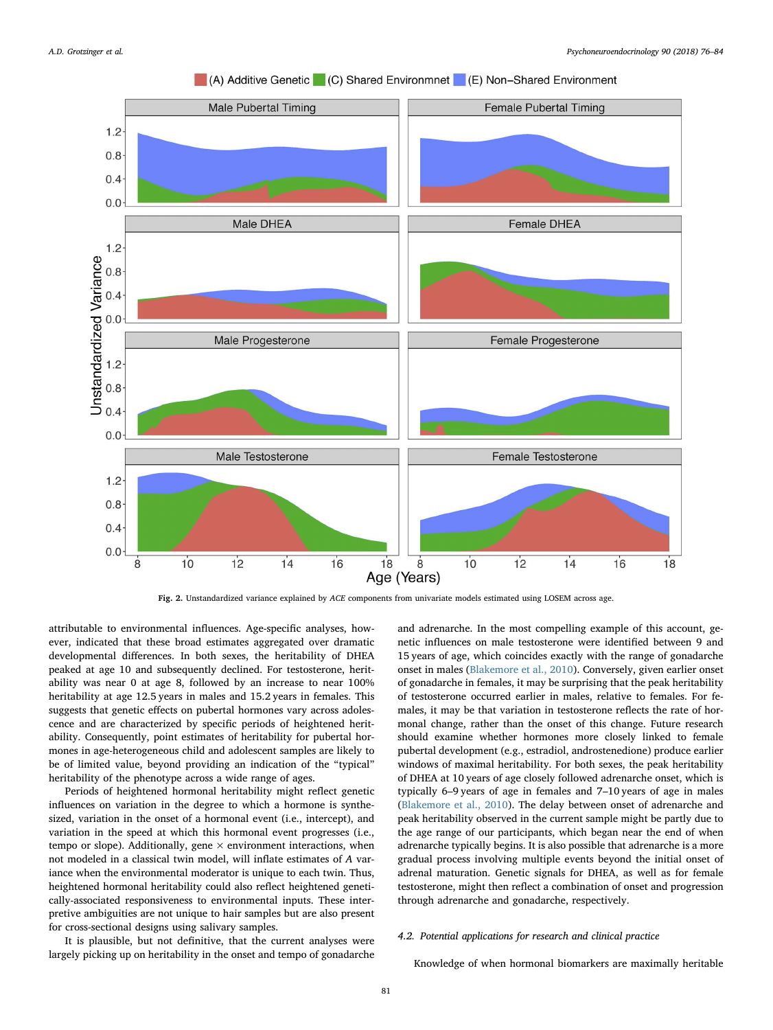<span id="page-5-0"></span>

(A) Additive Genetic (C) Shared Environmnet (E) Non-Shared Environment

Fig. 2. Unstandardized variance explained by ACE components from univariate models estimated using LOSEM across age.

attributable to environmental influences. Age-specific analyses, however, indicated that these broad estimates aggregated over dramatic developmental differences. In both sexes, the heritability of DHEA peaked at age 10 and subsequently declined. For testosterone, heritability was near 0 at age 8, followed by an increase to near 100% heritability at age 12.5 years in males and 15.2 years in females. This suggests that genetic effects on pubertal hormones vary across adolescence and are characterized by specific periods of heightened heritability. Consequently, point estimates of heritability for pubertal hormones in age-heterogeneous child and adolescent samples are likely to be of limited value, beyond providing an indication of the "typical" heritability of the phenotype across a wide range of ages.

Periods of heightened hormonal heritability might reflect genetic influences on variation in the degree to which a hormone is synthesized, variation in the onset of a hormonal event (i.e., intercept), and variation in the speed at which this hormonal event progresses (i.e., tempo or slope). Additionally, gene  $\times$  environment interactions, when not modeled in a classical twin model, will inflate estimates of A variance when the environmental moderator is unique to each twin. Thus, heightened hormonal heritability could also reflect heightened genetically-associated responsiveness to environmental inputs. These interpretive ambiguities are not unique to hair samples but are also present for cross-sectional designs using salivary samples.

It is plausible, but not definitive, that the current analyses were largely picking up on heritability in the onset and tempo of gonadarche and adrenarche. In the most compelling example of this account, genetic influences on male testosterone were identified between 9 and 15 years of age, which coincides exactly with the range of gonadarche onset in males [\(Blakemore et al., 2010\)](#page-8-3). Conversely, given earlier onset of gonadarche in females, it may be surprising that the peak heritability of testosterone occurred earlier in males, relative to females. For females, it may be that variation in testosterone reflects the rate of hormonal change, rather than the onset of this change. Future research should examine whether hormones more closely linked to female pubertal development (e.g., estradiol, androstenedione) produce earlier windows of maximal heritability. For both sexes, the peak heritability of DHEA at 10 years of age closely followed adrenarche onset, which is typically 6–9 years of age in females and 7–10 years of age in males ([Blakemore et al., 2010\)](#page-8-3). The delay between onset of adrenarche and peak heritability observed in the current sample might be partly due to the age range of our participants, which began near the end of when adrenarche typically begins. It is also possible that adrenarche is a more gradual process involving multiple events beyond the initial onset of adrenal maturation. Genetic signals for DHEA, as well as for female testosterone, might then reflect a combination of onset and progression through adrenarche and gonadarche, respectively.

# 4.2. Potential applications for research and clinical practice

Knowledge of when hormonal biomarkers are maximally heritable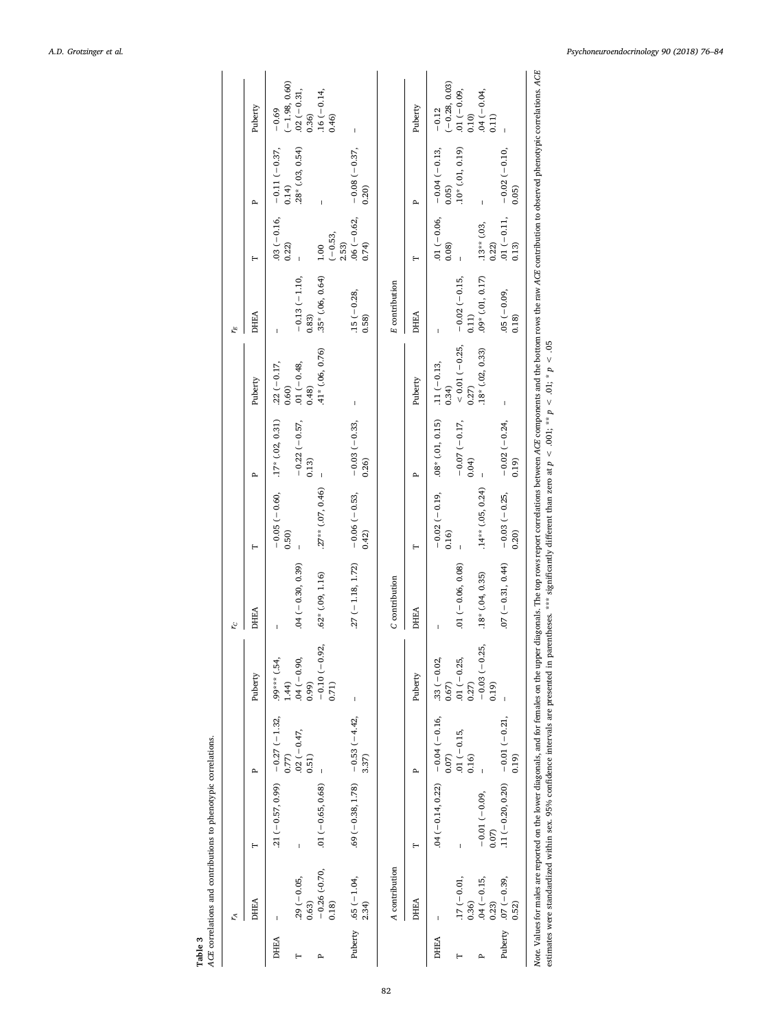<span id="page-6-0"></span>

|         | ζ,                               |                                          |                                |                              | Ľ                   |                         |                          |                              | Ę                                   |                                 |                            |                                                                                 |
|---------|----------------------------------|------------------------------------------|--------------------------------|------------------------------|---------------------|-------------------------|--------------------------|------------------------------|-------------------------------------|---------------------------------|----------------------------|---------------------------------------------------------------------------------|
|         | DHEA                             | ⊢                                        | д                              | Puberty                      | DHEA                | ⊢                       | д                        | Puberty                      | DHEA                                | ⊢                               | $\mathbf{p}$               | Puberty                                                                         |
| DHEA    |                                  | $21 (-0.57, 0.99) -0.27 (-1.32,$         |                                | .99*** (.54,                 |                     | $-0.05(-0.60,$          | $.17^*$ $(.02, 0.31)$    | $.22(-0.17,$                 |                                     | $.03(-0.16,$                    | $-0.11(-0.37,$<br>0.14)    | $-0.69$                                                                         |
| н       | $.29(-0.05,$                     | Ï                                        | $.02 (-0.47, 0.51)$<br>(277)   | $.04 (-0.90, 0.99)$<br>1.44) | $.04 (-0.30, 0.39)$ | 0.50)                   | $-0.22(-0.57,$           | $0.1(-0.48, 0.48)$<br>0.60)  | $-0.13(-1.10,$                      | 0.22)                           | $.28*(.03, 0.54)$          | $(-1.98, 0.60)$                                                                 |
| $\sim$  | $-0.26(-0.70,$<br>0.18)<br>0.63) | $.01 (-0.65, 0.68)$                      |                                | $-0.10(-0.92)$<br>0.71)      | $.62*(.09, 1.16)$   | $.27**$ $(.07, 0.46)$   | 0.13)                    | 41* (.06, 0.76)              | $.35*(.06, 0.64)$<br>0.83           | $(-0.53,$<br>1.00               |                            | $\begin{array}{c} .02 \ (-0.31, \\ 0.36) \\ .16 \ (-0.14, \end{array}$<br>0.46) |
|         | Puberty .65 (-1.04,<br>2.34      | $-69(-0.38, 1.78) -0.53(-4.42)$          | 3.37                           | $\mathbf{I}$                 | $.27(-1.18, 1.72)$  | $-0.06(-0.53,$<br>0.42) | $-0.03 (-0.33, 0.26)$    | $\mathbf{I}$                 | $.15(-0.28,$<br>0.58)               | $.06(-0.62,$<br>0.74)<br>2.53)  | $-0.08(-0.37,$<br>0.20)    | $\overline{1}$                                                                  |
|         | A contribution                   |                                          |                                |                              | C contribution      |                         |                          |                              | $E$ contribution                    |                                 |                            |                                                                                 |
|         | DHEA                             | ⊢                                        |                                | Puberty                      | DHEA                | н                       | ρ                        | Puberty                      | DHEA                                | н                               | $\mathbf{r}$               | Puberty                                                                         |
| DHEA    |                                  | $-0.14, 0.22$ - 0.04 $(-0.16,$           |                                | $.33(-0.02,$                 |                     | $-0.02(-0.19,$          | $.08*(.01, 0.15)$        | $.11 (-0.13,$                |                                     | $.01 (-0.06,$                   | $-0.04(-0.13,$             | $-0.12$                                                                         |
|         | $.17(-0.01,$                     |                                          | $.01 (-0.15, 0.16)$<br>(20.07) | $.01 (-0.25,$<br>0.67)       | $.01 (-0.06, 0.08)$ | 0.16)                   | $-0.07(-0.17,$           | $< 0.01$ ( $-0.25,$<br>0.34) | $-0.02(-0.15,$                      | 0.08                            | $10*$ (.01, 0.19)<br>0.05) | $(-0.28, 0.03)$<br>$\begin{array}{c} 01 (-0.09, \\ 0.10) \end{array}$           |
|         | $.04 (-0.15,$<br>0.36            | $-0.01(-0.09,$                           |                                | $-0.03(-0.25)$<br>0.27)      | $.18*(.04, 0.35)$   | $.14**(.05, 0.24)$      | 0.04)                    | $.18*(.02, 0.33)$<br>0.27)   | $.09^{\ast}$ $(.01,\,0.17)$<br>(11) | $.13**$ (.03,                   |                            | $.04 (-0.04,$                                                                   |
| Puberty | $.07 (-0.39,$<br>0.23)<br>0.52)  | $11 (-0.20, 0.20) -0.01 (-0.21,$<br>0.07 | (61.0)                         | (61.0)                       | $.07 (-0.31, 0.44)$ | $-0.03(-0.25,$<br>0.20) | $-0.02(-0.24,$<br>(61.0) | I                            | $.05(-0.09,$<br>0.18)               | $.01 (-0.11,$<br>0.22)<br>0.13) | $-0.02(-0.10,$<br>0.05)    | 0.11)                                                                           |

Table 3  $$\mbox{\sc AcC}$  correlations and contributions to phenotypic correlations. ACE correlations and contributions to phenotypic correlations.

82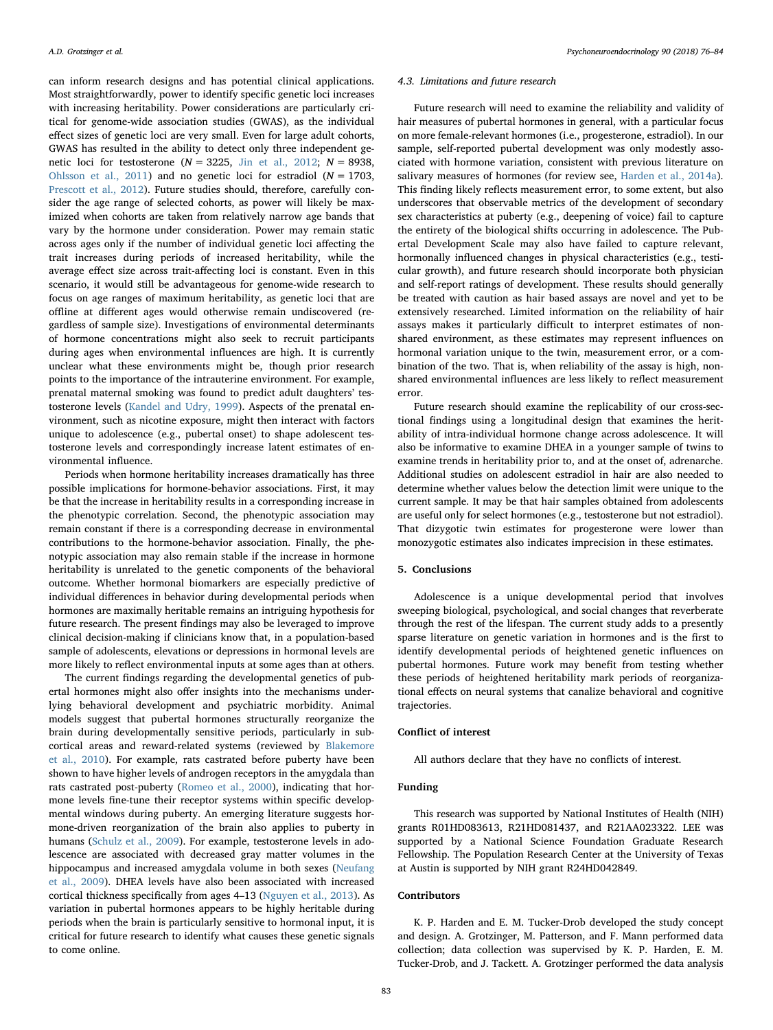can inform research designs and has potential clinical applications. Most straightforwardly, power to identify specific genetic loci increases with increasing heritability. Power considerations are particularly critical for genome-wide association studies (GWAS), as the individual effect sizes of genetic loci are very small. Even for large adult cohorts, GWAS has resulted in the ability to detect only three independent genetic loci for testosterone ( $N = 3225$ , [Jin et al., 2012;](#page-8-32)  $N = 8938$ , [Ohlsson et al., 2011](#page-8-33)) and no genetic loci for estradiol ( $N = 1703$ , [Prescott et al., 2012\)](#page-8-34). Future studies should, therefore, carefully consider the age range of selected cohorts, as power will likely be maximized when cohorts are taken from relatively narrow age bands that vary by the hormone under consideration. Power may remain static across ages only if the number of individual genetic loci affecting the trait increases during periods of increased heritability, while the average effect size across trait-affecting loci is constant. Even in this scenario, it would still be advantageous for genome-wide research to focus on age ranges of maximum heritability, as genetic loci that are offline at different ages would otherwise remain undiscovered (regardless of sample size). Investigations of environmental determinants of hormone concentrations might also seek to recruit participants during ages when environmental influences are high. It is currently unclear what these environments might be, though prior research points to the importance of the intrauterine environment. For example, prenatal maternal smoking was found to predict adult daughters' testosterone levels [\(Kandel and Udry, 1999\)](#page-8-35). Aspects of the prenatal environment, such as nicotine exposure, might then interact with factors unique to adolescence (e.g., pubertal onset) to shape adolescent testosterone levels and correspondingly increase latent estimates of environmental influence.

Periods when hormone heritability increases dramatically has three possible implications for hormone-behavior associations. First, it may be that the increase in heritability results in a corresponding increase in the phenotypic correlation. Second, the phenotypic association may remain constant if there is a corresponding decrease in environmental contributions to the hormone-behavior association. Finally, the phenotypic association may also remain stable if the increase in hormone heritability is unrelated to the genetic components of the behavioral outcome. Whether hormonal biomarkers are especially predictive of individual differences in behavior during developmental periods when hormones are maximally heritable remains an intriguing hypothesis for future research. The present findings may also be leveraged to improve clinical decision-making if clinicians know that, in a population-based sample of adolescents, elevations or depressions in hormonal levels are more likely to reflect environmental inputs at some ages than at others.

The current findings regarding the developmental genetics of pubertal hormones might also offer insights into the mechanisms underlying behavioral development and psychiatric morbidity. Animal models suggest that pubertal hormones structurally reorganize the brain during developmentally sensitive periods, particularly in subcortical areas and reward-related systems (reviewed by [Blakemore](#page-8-3) [et al., 2010\)](#page-8-3). For example, rats castrated before puberty have been shown to have higher levels of androgen receptors in the amygdala than rats castrated post-puberty ([Romeo et al., 2000\)](#page-8-36), indicating that hormone levels fine-tune their receptor systems within specific developmental windows during puberty. An emerging literature suggests hormone-driven reorganization of the brain also applies to puberty in humans [\(Schulz et al., 2009](#page-8-37)). For example, testosterone levels in adolescence are associated with decreased gray matter volumes in the hippocampus and increased amygdala volume in both sexes [\(Neufang](#page-8-38) [et al., 2009](#page-8-38)). DHEA levels have also been associated with increased cortical thickness specifically from ages 4–13 ([Nguyen et al., 2013\)](#page-8-39). As variation in pubertal hormones appears to be highly heritable during periods when the brain is particularly sensitive to hormonal input, it is critical for future research to identify what causes these genetic signals to come online.

#### 4.3. Limitations and future research

Future research will need to examine the reliability and validity of hair measures of pubertal hormones in general, with a particular focus on more female-relevant hormones (i.e., progesterone, estradiol). In our sample, self-reported pubertal development was only modestly associated with hormone variation, consistent with previous literature on salivary measures of hormones (for review see, [Harden et al., 2014a](#page-8-40)). This finding likely reflects measurement error, to some extent, but also underscores that observable metrics of the development of secondary sex characteristics at puberty (e.g., deepening of voice) fail to capture the entirety of the biological shifts occurring in adolescence. The Pubertal Development Scale may also have failed to capture relevant, hormonally influenced changes in physical characteristics (e.g., testicular growth), and future research should incorporate both physician and self-report ratings of development. These results should generally be treated with caution as hair based assays are novel and yet to be extensively researched. Limited information on the reliability of hair assays makes it particularly difficult to interpret estimates of nonshared environment, as these estimates may represent influences on hormonal variation unique to the twin, measurement error, or a combination of the two. That is, when reliability of the assay is high, nonshared environmental influences are less likely to reflect measurement error.

Future research should examine the replicability of our cross-sectional findings using a longitudinal design that examines the heritability of intra-individual hormone change across adolescence. It will also be informative to examine DHEA in a younger sample of twins to examine trends in heritability prior to, and at the onset of, adrenarche. Additional studies on adolescent estradiol in hair are also needed to determine whether values below the detection limit were unique to the current sample. It may be that hair samples obtained from adolescents are useful only for select hormones (e.g., testosterone but not estradiol). That dizygotic twin estimates for progesterone were lower than monozygotic estimates also indicates imprecision in these estimates.

# 5. Conclusions

Adolescence is a unique developmental period that involves sweeping biological, psychological, and social changes that reverberate through the rest of the lifespan. The current study adds to a presently sparse literature on genetic variation in hormones and is the first to identify developmental periods of heightened genetic influences on pubertal hormones. Future work may benefit from testing whether these periods of heightened heritability mark periods of reorganizational effects on neural systems that canalize behavioral and cognitive trajectories.

# Conflict of interest

All authors declare that they have no conflicts of interest.

# Funding

This research was supported by National Institutes of Health (NIH) grants R01HD083613, R21HD081437, and R21AA023322. LEE was supported by a National Science Foundation Graduate Research Fellowship. The Population Research Center at the University of Texas at Austin is supported by NIH grant R24HD042849.

#### Contributors

K. P. Harden and E. M. Tucker-Drob developed the study concept and design. A. Grotzinger, M. Patterson, and F. Mann performed data collection; data collection was supervised by K. P. Harden, E. M. Tucker-Drob, and J. Tackett. A. Grotzinger performed the data analysis